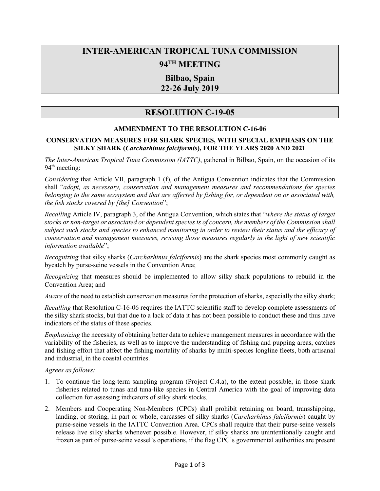# **INTER-AMERICAN TROPICAL TUNA COMMISSION**

# **94TH MEETING**

## **Bilbao, Spain 22-26 July 2019**

# **RESOLUTION C-19-05**

### **AMMENDMENT TO THE RESOLUTION C-16-06**

#### **CONSERVATION MEASURES FOR SHARK SPECIES, WITH SPECIAL EMPHASIS ON THE SILKY SHARK (***Carcharhinus falciformis***), FOR THE YEARS 2020 AND 2021**

*The Inter-American Tropical Tuna Commission (IATTC)*, gathered in Bilbao, Spain, on the occasion of its 94<sup>th</sup> meeting:

*Considering* that Article VII, paragraph 1 (f), of the Antigua Convention indicates that the Commission shall "*adopt, as necessary, conservation and management measures and recommendations for species belonging to the same ecosystem and that are affected by fishing for, or dependent on or associated with, the fish stocks covered by [the] Convention*";

*Recalling* Article IV, paragraph 3, of the Antigua Convention, which states that "*where the status of target stocks or non-target or associated or dependent species is of concern, the members of the Commission shall subject such stocks and species to enhanced monitoring in order to review their status and the efficacy of conservation and management measures, revising those measures regularly in the light of new scientific information available*";

*Recognizing* that silky sharks (*Carcharhinus falciformis*) are the shark species most commonly caught as bycatch by purse-seine vessels in the Convention Area;

*Recognizing* that measures should be implemented to allow silky shark populations to rebuild in the Convention Area; and

*Aware* of the need to establish conservation measures for the protection of sharks, especially the silky shark;

*Recalling* that Resolution C-16-06 requires the IATTC scientific staff to develop complete assessments of the silky shark stocks, but that due to a lack of data it has not been possible to conduct these and thus have indicators of the status of these species.

*Emphasizing* the necessity of obtaining better data to achieve management measures in accordance with the variability of the fisheries, as well as to improve the understanding of fishing and pupping areas, catches and fishing effort that affect the fishing mortality of sharks by multi-species longline fleets, both artisanal and industrial, in the coastal countries.

#### *Agrees as follows:*

- 1. To continue the long-term sampling program (Project C.4.a), to the extent possible, in those shark fisheries related to tunas and tuna-like species in Central America with the goal of improving data collection for assessing indicators of silky shark stocks.
- 2. Members and Cooperating Non-Members (CPCs) shall prohibit retaining on board, transshipping, landing, or storing, in part or whole, carcasses of silky sharks (*Carcharhinus falciformis*) caught by purse-seine vessels in the IATTC Convention Area. CPCs shall require that their purse-seine vessels release live silky sharks whenever possible. However, if silky sharks are unintentionally caught and frozen as part of purse-seine vessel's operations, if the flag CPC's governmental authorities are present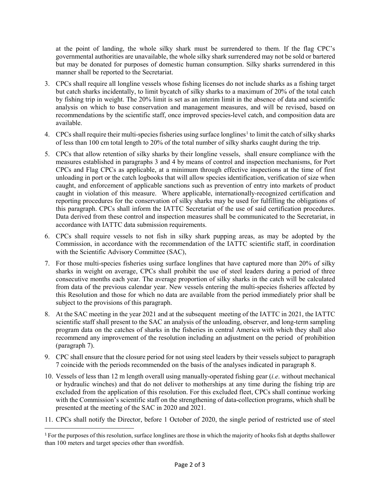at the point of landing, the whole silky shark must be surrendered to them. If the flag CPC's governmental authorities are unavailable, the whole silky shark surrendered may not be sold or bartered but may be donated for purposes of domestic human consumption. Silky sharks surrendered in this manner shall be reported to the Secretariat.

- 3. CPCs shall require all longline vessels whose fishing licenses do not include sharks as a fishing target but catch sharks incidentally, to limit bycatch of silky sharks to a maximum of 20% of the total catch by fishing trip in weight. The 20% limit is set as an interim limit in the absence of data and scientific analysis on which to base conservation and management measures, and will be revised, based on recommendations by the scientific staff, once improved species-level catch, and composition data are available.
- 4. CPCs shall require their multi-species fisheries using surface longlines<sup>[1](#page-1-0)</sup> to limit the catch of silky sharks of less than 100 cm total length to 20% of the total number of silky sharks caught during the trip.
- 5. CPCs that allow retention of silky sharks by their longline vessels, shall ensure compliance with the measures established in paragraphs 3 and 4 by means of control and inspection mechanisms, for Port CPCs and Flag CPCs as applicable, at a minimum through effective inspections at the time of first unloading in port or the catch logbooks that will allow species identification, verification of size when caught, and enforcement of applicable sanctions such as prevention of entry into markets of product caught in violation of this measure. Where applicable, internationally-recognized certification and reporting procedures for the conservation of silky sharks may be used for fulfilling the obligations of this paragraph. CPCs shall inform the IATTC Secretariat of the use of said certification procedures. Data derived from these control and inspection measures shall be communicated to the Secretariat, in accordance with IATTC data submission requirements.
- 6. CPCs shall require vessels to not fish in silky shark pupping areas, as may be adopted by the Commission, in accordance with the recommendation of the IATTC scientific staff, in coordination with the Scientific Advisory Committee (SAC),
- 7. For those multi-species fisheries using surface longlines that have captured more than 20% of silky sharks in weight on average, CPCs shall prohibit the use of steel leaders during a period of three consecutive months each year. The average proportion of silky sharks in the catch will be calculated from data of the previous calendar year. New vessels entering the multi-species fisheries affected by this Resolution and those for which no data are available from the period immediately prior shall be subject to the provisions of this paragraph.
- 8. At the SAC meeting in the year 2021 and at the subsequent meeting of the IATTC in 2021, the IATTC scientific staff shall present to the SAC an analysis of the unloading, observer, and long-term sampling program data on the catches of sharks in the fisheries in central America with which they shall also recommend any improvement of the resolution including an adjustment on the period of prohibition (paragraph 7).
- 9. CPC shall ensure that the closure period for not using steel leaders by their vessels subject to paragraph 7 coincide with the periods recommended on the basis of the analyses indicated in paragraph 8.
- 10. Vessels of less than 12 m length overall using manually-operated fishing gear (*i.e*. without mechanical or hydraulic winches) and that do not deliver to motherships at any time during the fishing trip are excluded from the application of this resolution. For this excluded fleet, CPCs shall continue working with the Commission's scientific staff on the strengthening of data-collection programs, which shall be presented at the meeting of the SAC in 2020 and 2021.
- 11. CPCs shall notify the Director, before 1 October of 2020, the single period of restricted use of steel

<span id="page-1-0"></span><sup>&</sup>lt;sup>1</sup> For the purposes of this resolution, surface longlines are those in which the majority of hooks fish at depths shallower than 100 meters and target species other than swordfish.